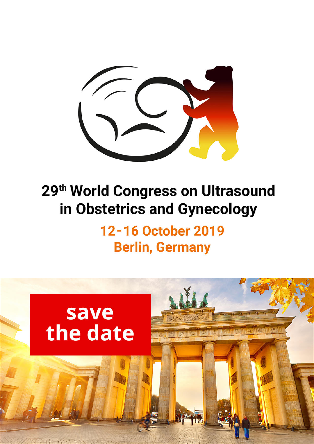

# 29<sup>th</sup> World Congress on Ultrasound in Obstetrics and Gynecology

# 12-16 October 2019 **Berlin, Germany**

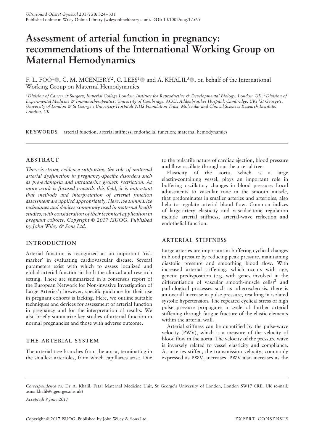# **Assessment of arterial function in pregnancy: recommendations of the International Working Group on Maternal Hemodynamics**

F. L. FOO<sup>1</sup>®, C. M. MCENIERY<sup>2</sup>, C. LEES<sup>1</sup>® and A. KHALIL<sup>3</sup>®, on behalf of the International Working Group on Maternal Hemodynamics

<sup>1</sup>*Division of Cancer & Surgery, Imperial College London, Institute for Reproductive & Developmental Biology, London, UK;* <sup>2</sup>*Division of Experimental Medicine & Immunotherapeutics, University of Cambridge, ACCI, Addenbrookes Hospital, Cambridge, UK;* <sup>3</sup>*St George's, University of London & St George's University Hospitals NHS Foundation Trust, Molecular and Clinical Sciences Research Institute, London, UK*

**KEYWORDS:** arterial function; arterial stiffness; endothelial function; maternal hemodynamics

# **ABSTRACT**

*There is strong evidence supporting the role of maternal arterial dysfunction in pregnancy-specific disorders such as pre-eclampsia and intrauterine growth restriction. As more work is focused towards this field, it is important that methods and interpretation of arterial function assessment are applied appropriately. Here, we summarize techniques and devices commonly used in maternal health studies, with consideration of their technical application in pregnant cohorts. Copyright 2017 ISUOG. Published by John Wiley & Sons Ltd.*

# **INTRODUCTION**

Arterial function is recognized as an important 'risk marker' in evaluating cardiovascular disease. Several parameters exist with which to assess localized and global arterial function in both the clinical and research setting. These are summarized in a consensus report of the European Network for Non-invasive Investigation of Large Arteries<sup>1</sup>; however, specific guidance for their use in pregnant cohorts is lacking. Here, we outline suitable techniques and devices for assessment of arterial function in pregnancy and for the interpretation of results. We also briefly summarize key studies of arterial function in normal pregnancies and those with adverse outcome.

# **THE ARTERIAL SYSTEM**

The arterial tree branches from the aorta, terminating in the smallest arterioles, from which capillaries arise. Due to the pulsatile nature of cardiac ejection, blood pressure and flow oscillate throughout the arterial tree.

Elasticity of the aorta, which is a large elastin-containing vessel, plays an important role in buffering oscillatory changes in blood pressure. Local adjustments to vascular tone in the smooth muscle, that predominates in smaller arteries and arterioles, also help to regulate arterial blood flow. Common indices of large-artery elasticity and vascular-tone regulation include arterial stiffness, arterial-wave reflection and endothelial function.

# **ARTERIAL STIFFNESS**

Large arteries are important in buffering cyclical changes in blood pressure by reducing peak pressure, maintaining diastolic pressure and smoothing blood flow. With increased arterial stiffening, which occurs with age, genetic predisposition (e.g. with genes involved in the differentiation of vascular smooth-muscle cells)<sup>2</sup> and pathological processes such as atherosclerosis, there is an overall increase in pulse pressure, resulting in isolated systolic hypertension. The repeated cyclical stress of high pulse pressure propagates a cycle of further arterial stiffening through fatigue fracture of the elastic elements within the arterial wall.

Arterial stiffness can be quantified by the pulse-wave velocity (PWV), which is a measure of the velocity of blood flow in the aorta. The velocity of the pressure wave is inversely related to vessel elasticity and compliance. As arteries stiffen, the transmission velocity, commonly expressed as PWV, increases. PWV also increases as the

*Accepted: 8 June 2017*

*Correspondence to:* Dr A. Khalil, Fetal Maternal Medicine Unit, St George's University of London, London SW17 0RE, UK (e-mail: asma.khalil@stgeorges.nhs.uk)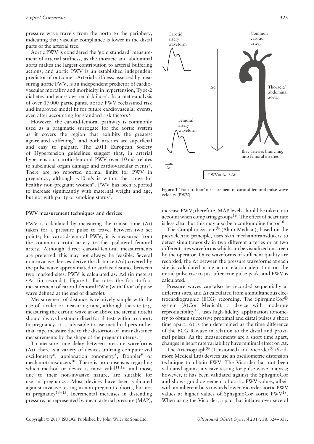pressure wave travels from the aorta to the periphery, indicating that vascular compliance is lower in the distal parts of the arterial tree.

Aortic PWV is considered the 'gold standard' measurement of arterial stiffness, as the thoracic and abdominal aorta makes the largest contribution to arterial buffering actions, and aortic PWV is an established independent predictor of outcome<sup>1</sup>. Arterial stiffness, assessed by measuring aortic PWV, is an independent predictor of cardiovascular mortality and morbidity in hypertension, Type-2 diabetes and end-stage renal failure<sup>1</sup>. In a meta-analysis of over 17 000 participants, aortic PWV reclassified risk and improved model fit for future cardiovascular events, even after accounting for standard risk factors<sup>3</sup>.

However, the carotid-femoral pathway is commonly used as a pragmatic surrogate for the aortic system as it covers the region that exhibits the greatest age-related stiffening<sup>4</sup>, and both arteries are superficial and easy to palpate. The 2011 European Society of Hypertension guidelines suggest that, in arterial hypertension, carotid-femoral PWV over 10 m/s relates to subclinical organ damage and cardiovascular events<sup>5</sup>. There are no reported normal limits for PWV in pregnancy, although <10 m/s is within the range for healthy non-pregnant women<sup>6</sup>. PWV has been reported to increase significantly with maternal weight and age, but not with parity or smoking status<sup>7</sup>.

# **PWV measurement techniques and devices**

PWV is calculated by measuring the transit time  $(\Delta t)$ taken for a pressure pulse to travel between two set points; for carotid-femoral PWV, it is measured from the common carotid artery to the ipsilateral femoral artery. Although direct carotid-femoral measurements are preferred, this may not always be feasible. Several non-invasive devices derive the distance ( $\Delta d$ ) covered by the pulse wave approximated to surface distance between two marked sites. PWV is calculated as:  $\Delta d$  (in meters)  $\Delta t$  (in seconds). Figure 1 illustrates the foot-to-foot measurement of carotid-femoral PWV (with 'foot' of pulse wave defined at the end of diastole).

Measurement of distance is relatively simple with the use of a ruler or measuring tape, although the site (e.g. measuring the carotid wave at or above the sternal notch) should always be standardized for all tests within a cohort. In pregnancy, it is advisable to use metal calipers rather than tape measure due to the distortion of linear distance measurements by the shape of the pregnant uterus.

To measure time delay between pressure waveforms  $(\Delta t)$ , there is a variety of devices utilizing computerized oscillometry<sup>6</sup>, applanation tonometry<sup>8</sup>, Doppler<sup>9</sup> or mechanotransducers $10$ . There is no consensus regarding which method or device is most valid $11,12$ , and most, due to their non-invasive nature, are suitable for use in pregnancy. Most devices have been validated against invasive testing in non-pregnant cohorts, but not in pregnancy<sup>13–15</sup>. Incremental increases in distending pressure, as represented by mean arterial pressure (MAP),



**Figure 1** 'Foot-to-foot' measurement of carotid-femoral pulse-wave velocity (PWV).

increase PWV; therefore, MAP levels should be taken into account when comparing groups<sup>16</sup>. The effect of heart rate is less clear but this may also be a confounding factor<sup>16</sup>.

The Complior System<sup>®</sup> (Alam Medical), based on the piezoelectric principle, uses skin mechanotransducers to detect simultaneously in two different arteries or at two different sites waveforms which can be visualized onscreen by the operator. Once waveforms of sufficient quality are recorded, the  $\Delta t$  between the pressure waveforms at each site is calculated using a correlation algorithm on the initial pulse rise to just after true pulse peak, and PWV is calculated.

Pressure waves can also be recorded sequentially at different sites, and  $\Delta t$  calculated from a simultaneous electrocardiographic (ECG) recording. The SphygmoCor system (AtCor Medical), a device with moderate reproducibility<sup>17</sup>, uses high-fidelity applanation tonometry to obtain successive proximal and distal pulses a short time apart.  $\Delta t$  is then determined as the time difference of the ECG R-wave in relation to the distal and proximal pulses. As the measurements are a short time apart, changes in heart rate variability have minimal effect on  $\Delta t$ .

The Arteriograph<sup>®</sup> (Tensiomed) and Vicorder<sup>®</sup> (Skidmore Medical Ltd) devices use an oscillometric distension technique to obtain PWV. The Vicorder has not been validated against invasive testing for pulse-wave analysis; however, it has been validated against the SphygmoCor and shows good agreement of aortic PWV values, albeit with an inherent bias towards lower Vicorder aortic PWV values at higher values of SphygmoCor aortic PWV<sup>18</sup>. When using the Vicorder, a pad that inflates over several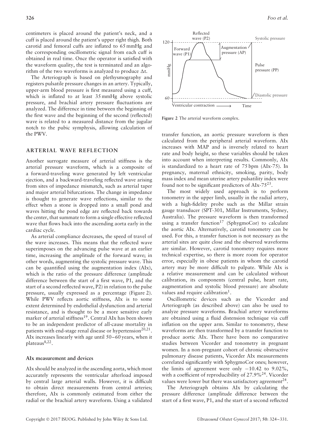centimeters is placed around the patient's neck, and a cuff is placed around the patient's upper right thigh. Both carotid and femoral cuffs are inflated to 65 mmHg and the corresponding oscillometric signal from each cuff is obtained in real time. Once the operator is satisfied with the waveform quality, the test is terminated and an algorithm of the two waveforms is analyzed to produce  $\Delta t$ .

The Arteriograph is based on plethysmography and registers pulsatile pressure changes in an artery. Typically, upper-arm blood pressure is first measured using a cuff, which is inflated to at least  $35 \text{ mmHg}$  above systolic pressure, and brachial artery pressure fluctuations are analyzed. The difference in time between the beginning of the first wave and the beginning of the second (reflected) wave is related to a measured distance from the jugular notch to the pubic symphysis, allowing calculation of the PWV.

# **ARTERIAL WAVE REFLECTION**

Another surrogate measure of arterial stiffness is the arterial pressure waveform, which is a composite of a forward-traveling wave generated by left ventricular ejection, and a backward-traveling reflected wave arising from sites of impedance mismatch, such as arterial taper and major arterial bifurcations. The change in impedance is thought to generate wave reflections, similar to the effect when a stone is dropped into a small pond and waves hitting the pond edge are reflected back towards the center, that summate to form a single effective reflected wave that flows back into the ascending aorta early in the cardiac cycle.

As arterial compliance decreases, the speed of travel of the wave increases. This means that the reflected wave superimposes on the advancing pulse wave at an earlier time, increasing the amplitude of the forward wave; in other words, augmenting the systolic pressure wave. This can be quantified using the augmentation index (AIx), which is the ratio of the pressure difference (amplitude difference between the start of a first wave, P1, and the start of a second reflected wave, P2) in relation to the pulse pressure, usually expressed as a percentage (Figure 2). While PWV reflects aortic stiffness, AIx is to some extent determined by endothelial dysfunction and arterial resistance, and is thought to be a more sensitive early marker of arterial stiffness<sup>19</sup>. Central AIx has been shown to be an independent predictor of all-cause mortality in patients with end-stage renal disease or hypertension<sup>20,21</sup>. AIx increases linearly with age until 50–60 years, when it plateaus<sup>8,22</sup>.

## **AIx measurement and devices**

AIx should be analyzed in the ascending aorta, which most accurately represents the ventricular afterload imposed by central large arterial walls. However, it is difficult to obtain direct measurements from central arteries; therefore, AIx is commonly estimated from either the radial or the brachial artery waveform. Using a validated



**Figure 2** The arterial waveform complex.

transfer function, an aortic pressure waveform is then calculated from the peripheral arterial waveform. AIx increases with MAP and is inversely related to heart rate and body height, so these variables should be taken into account when interpreting results. Commonly, AIx is standardized to a heart rate of 75 bpm (AIx-75). In pregnancy, maternal ethnicity, smoking, parity, body mass index and mean uterine artery pulsatility index were found not to be significant predictors of AIx-75<sup>23</sup>.

The most widely used approach is to perform tonometry in the upper limb, usually in the radial artery, with a high-fidelity probe such as the Millar strain gauge transducer (SPT-301, Millar Instruments, Sydney, Australia). The pressure waveform is then transformed using a transfer function<sup>17</sup> (SphygmoCor) to calculate the aortic AIx. Alternatively, carotid tonometry can be used. For this, a transfer function is not necessary as the arterial sites are quite close and the observed waveforms are similar. However, carotid tonometry requires more technical expertise, so there is more room for operator error, especially in obese patients in whom the carotid artery may be more difficult to palpate. While AIx is a relative measurement and can be calculated without calibration, its components (central pulse, heart rate, augmentation and systolic blood pressure) are absolute values and require calibration<sup>1</sup>.

Oscillometric devices such as the Vicorder and Arteriograph (as described above) can also be used to analyze pressure waveforms. Brachial artery waveforms are obtained using a fluid distension technique via cuff inflation on the upper arm. Similar to tonometry, these waveforms are then transformed by a transfer function to produce aortic AIx. There have been no comparative studies between Vicorder and tonometry in pregnant women. In a non-pregnant cohort of chronic obstructive pulmonary disease patients, Vicorder AIx measurements correlated significantly with SphygmoCor ones; however, the limits of agreement were only  $-10.42$  to  $9.02\%$ , with a coefficient of reproducibility of 27.9%<sup>24</sup>. Vicorder values were lower but there was satisfactory agreement<sup>24</sup>.

The Arteriograph obtains AIx by calculating the pressure difference (amplitude difference between the start of a first wave, P1, and the start of a second reflected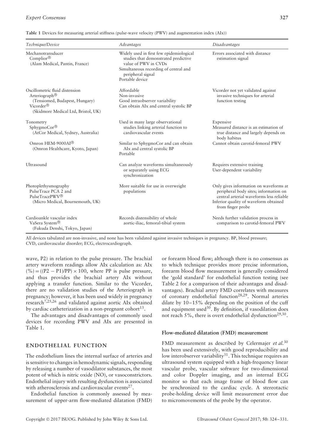#### *Expert Consensus* **327**

|  |  | Table 1 Devices for measuring arterial stiffness (pulse-wave velocity (PWV) and augmentation index (AIx)) |
|--|--|-----------------------------------------------------------------------------------------------------------|
|--|--|-----------------------------------------------------------------------------------------------------------|

| Technique/Device                                                                                                                                              | Advantages                                                                                                                                                                                | Disadvantages                                                                                                                                                                             |
|---------------------------------------------------------------------------------------------------------------------------------------------------------------|-------------------------------------------------------------------------------------------------------------------------------------------------------------------------------------------|-------------------------------------------------------------------------------------------------------------------------------------------------------------------------------------------|
| Mechanotransducer<br>Complior <sup>®</sup><br>(Alam Medical, Pantin, France)                                                                                  | Widely used in first few epidemiological<br>studies that demonstrated predictive<br>value of PWV in CVDs<br>Simultaneous recording of central and<br>peripheral signal<br>Portable device | Errors associated with distance<br>estimation signal                                                                                                                                      |
| Oscillometric fluid distension<br>Arteriograph <sup>®</sup><br>(Tensiomed, Budapest, Hungary)<br>Vicorder <sup>®</sup><br>(Skidmore Medical Ltd, Bristol, UK) | Affordable<br>Non-invasive<br>Good intraobserver variability<br>Can obtain AIx and central systolic BP                                                                                    | Vicorder not yet validated against<br>invasive techniques for arterial<br>function testing                                                                                                |
| Tonometry<br>SphygmoCor®<br>(AtCor Medical, Sydney, Australia)                                                                                                | Used in many large observational<br>studies linking arterial function to<br>cardiovascular events                                                                                         | Expensive<br>Measured distance is an estimation of<br>true distance and largely depends on<br>body habitus                                                                                |
| Omron HEM-9000AI <sup>®</sup><br>(Omron Healthcare, Kyoto, Japan)                                                                                             | Similar to SphygmoCor and can obtain<br>AIx and central systolic BP<br>Portable                                                                                                           | Cannot obtain carotid-femoral PWV                                                                                                                                                         |
| Ultrasound                                                                                                                                                    | Can analyze waveforms simultaneously<br>or separately using ECG<br>synchronization                                                                                                        | Requires extensive training<br>User-dependent variability                                                                                                                                 |
| Photoplethysmography<br>PulseTrace PCA 2 and<br>PulseTracePWV <sup>®</sup><br>(Micro Medical, Bournemouth, UK)                                                | More suitable for use in overweight<br>populations                                                                                                                                        | Only gives information on waveforms at<br>peripheral body sites; information on<br>central arterial waveforms less reliable<br>Inferior quality of waveform obtained<br>from finger probe |
| Cardioankle vascular index<br>VaSera System <sup>®</sup><br>(Fukuda Denshi, Tokyo, Japan)                                                                     | Records distensibility of whole<br>aortic-iliac, femoral-tibial system                                                                                                                    | Needs further validation process in<br>comparison to carotid-femoral PWV                                                                                                                  |

All devices tabulated are non-invasive, and none has been validated against invasive techniques in pregnancy. BP, blood pressure; CVD, cardiovascular disorder; ECG, electrocardiograph.

wave, P2) in relation to the pulse pressure. The brachial artery waveform readings allow AIx calculation as: AIx  $(\%)=(P2 - P1)/PP) \times 100$ , where PP is pulse pressure, and thus provides the brachial artery AIx without applying a transfer function. Similar to the Vicorder, there are no validation studies of the Arteriograph in pregnancy; however, it has been used widely in pregnancy research7,25,26 and validated against aortic AIx obtained by cardiac catheterization in a non-pregnant cohort<sup>13</sup>.

The advantages and disadvantages of commonly used devices for recording PWV and AIx are presented in Table 1.

# **ENDOTHELIAL FUNCTION**

The endothelium lines the internal surface of arteries and is sensitive to changes in hemodynamic signals, responding by releasing a number of vasodilator substances, the most potent of which is nitric oxide (NO), or vasoconstrictors. Endothelial injury with resulting dysfunction is associated with atherosclerosis and cardiovascular events $^{27}$ .

Endothelial function is commonly assessed by measurement of upper-arm flow-mediated dilatation (FMD)

or forearm blood flow; although there is no consensus as to which technique provides more precise information, forearm blood flow measurement is generally considered the 'gold standard' for endothelial function testing (see Table 2 for a comparison of their advantages and disadvantages). Brachial artery FMD correlates with measures of coronary endothelial function<sup>28,29</sup>. Normal arteries dilate by 10–15% depending on the position of the cuff and equipment used $30$ . By definition, if vasodilation does not reach 5%, there is overt endothelial dysfunction<sup>29,30</sup>.

#### **Flow-mediated dilatation (FMD) measurement**

FMD measurement as described by Celermajer *et al.*<sup>30</sup> has been used extensively, with good reproducibility and low interobserver variability<sup>31</sup>. This technique requires an ultrasound system equipped with a high-frequency linear vascular probe, vascular software for two-dimensional and color Doppler imaging, and an internal ECG monitor so that each image frame of blood flow can be synchronized to the cardiac cycle. A stereotactic probe-holding device will limit measurement error due to micromovements of the probe by the operator.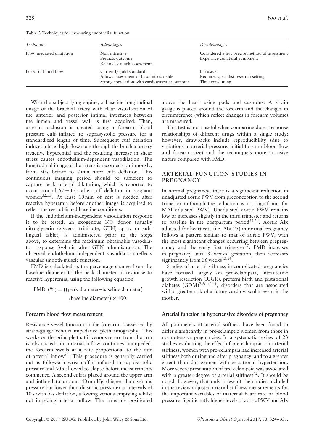**Table 2** Techniques for measuring endothelial function

| Technique                | Advantages                                                                                                           | <i>Disadvantages</i>                                                             |
|--------------------------|----------------------------------------------------------------------------------------------------------------------|----------------------------------------------------------------------------------|
| Flow-mediated dilatation | Non-intrusive<br>Predicts outcome<br>Relatively quick assessment                                                     | Considered a less precise method of assessment<br>Expensive collateral equipment |
| Forearm blood flow       | Currently gold standard<br>Allows assessment of basal nitric oxide<br>Strong correlation with cardiovascular outcome | Intrusive<br>Requires specialist research setting<br>Time-consuming              |

With the subject lying supine, a baseline longitudinal image of the brachial artery with clear visualization of the anterior and posterior intimal interfaces between the lumen and vessel wall is first acquired. Then, arterial occlusion is created using a forearm blood pressure cuff inflated to suprasystolic pressure for a standardized length of time. Subsequent cuff deflation induces a brief high-flow state through the brachial artery (reactive hyperemia) and the resulting increase in shear stress causes endothelium-dependent vasodilation. The longitudinal image of the artery is recorded continuously, from 30 s before to 2 min after cuff deflation. This continuous imaging period should be sufficient to capture peak arterial dilatation, which is reported to occur around  $57 \pm 15$  s after cuff deflation in pregnant women<sup>32,33</sup>. At least 10 min of rest is needed after reactive hyperemia before another image is acquired to reflect the reestablished baseline conditions.

If the endothelium-independent vasodilation response is to be tested, an exogenous NO donor (usually nitroglycerin (glyceryl trinitrate, GTN) spray or sublingual tablet) is administered prior to the steps above, to determine the maximum obtainable vasodilator response 3–4 min after GTN administration. The observed endothelium-independent vasodilation reflects vascular smooth-muscle function.

FMD is calculated as the percentage change from the baseline diameter to the peak diameter in response to reactive hyperemia, using the following equation:

 $FMD$  (%) = ((peak diameter–baseline diameter) /baseline diameter)  $\times$  100.

# **Forearm blood flow measurement**

Resistance vessel function in the forearm is assessed by strain-gauge venous impedance plethysmography. This works on the principle that if venous return from the arm is obstructed and arterial inflow continues unimpeded, the forearm swells at a rate proportional to the rate of arterial inflow34. This procedure is generally carried out as follows: a wrist cuff is inflated to suprasystolic pressure and 60 s allowed to elapse before measurements commence. A second cuff is placed around the upper arm and inflated to around 40 mmHg (higher than venous pressure but lower than diastolic pressure) at intervals of 10 s with 5-s deflation, allowing venous emptying whilst not impeding arterial inflow. The arms are positioned

above the heart using pads and cushions. A strain gauge is placed around the forearm and the changes in circumference (which reflect changes in forearm volume) are measured.

This test is most useful when comparing dose–response relationships of different drugs within a single study; however, drawbacks include reproducibility (due to variations in arterial pressure, initial forearm blood flow and forearm size) and the technique's more intrusive nature compared with FMD.

# **ARTERIAL FUNCTION STUDIES IN PREGNANCY**

In normal pregnancy, there is a significant reduction in unadjusted aortic PWV from preconception to the second trimester (although the reduction is not significant for MAP-adjusted PWV). Unadjusted aortic PWV remains low or increases slightly in the third trimester and returns to baseline in the postpartum period<sup>35,36</sup>. Aortic AIx adjusted for heart rate (i.e. AIx-75) in normal pregnancy follows a pattern similar to that of aortic PWV, with the most significant changes occurring between prepregnancy and the early first trimester<sup>37</sup>. FMD increases in pregnancy until 32 weeks' gestation, then decreases significantly from 36 weeks<sup>38,39</sup>.

Studies of arterial stiffness in complicated pregnancies have focused largely on pre-eclampsia, intrauterine growth restriction (IUGR), preterm birth and gestational diabetes  $(GDM)^{7,26,40,41}$ , disorders that are associated with a greater risk of a future cardiovascular event in the mother.

# **Arterial function in hypertensive disorders of pregnancy**

All parameters of arterial stiffness have been found to differ significantly in pre-eclamptic women from those in normotensive pregnancies. In a systematic review of 23 studies evaluating the effect of pre-eclampsia on arterial stiffness, women with pre-eclampsia had increased arterial stiffness both during and after pregnancy, and to a greater extent than did women with gestational hypertension. More severe presentation of pre-eclampsia was associated with a greater degree of arterial stiffness<sup>42</sup>. It should be noted, however, that only a few of the studies included in the review adjusted arterial stiffness measurements for the important variables of maternal heart rate or blood pressure. Significantly higher levels of aortic PWV and AIx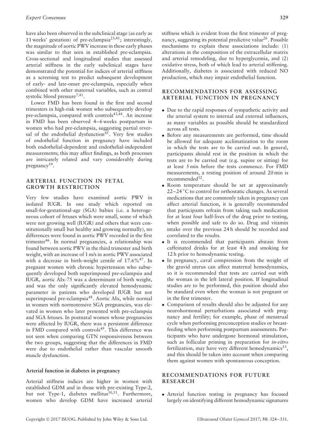have also been observed in the subclinical stage (as early as 11 weeks' gestation) of pre-eclampsia<sup>23,41</sup>; interestingly, the magnitude of aortic PWV increase in these early phases was similar to that seen in established pre-eclampsia. Cross-sectional and longitudinal studies that assessed arterial stiffness in the early subclinical stages have demonstrated the potential for indices of arterial stiffness as a screening test to predict subsequent development of early- and late-onset pre-eclampsia, especially when combined with other maternal variables, such as central systolic blood pressure<sup>7,41</sup>.

Lower FMD has been found in the first and second trimesters in high-risk women who subsequently develop pre-eclampsia, compared with controls<sup>43,44</sup>. An increase in FMD has been observed 4–6 weeks postpartum in women who had pre-eclampsia, suggesting partial reversal of the endothelial dysfunction<sup>45</sup>. Very few studies of endothelial function in pregnancy have included both endothelial-dependent and endothelial-independent measurements; this may affect findings, as both processes are intricately related and vary considerably during pregnancy<sup>19</sup>.

# **ARTERIAL FUNCTION IN FETAL GROWTH RESTRICTION**

Very few studies have examined aortic PWV in isolated IUGR. In one study which reported on small-for-gestational-age (SGA) babies (i.e. a heterogeneous cohort of fetuses which were small, some of which were not growing well (IUGR) and others that were constitutionally small but healthy and growing normally), no differences were found in aortic PWV recorded in the first trimester46. In normal pregnancies, a relationship was found between aortic PWV in the third trimester and birth weight, with an increase of 1 m/s in aortic PWV associated with a decrease in birth-weight centile of  $17.6\%$ <sup>47</sup>. In pregnant women with chronic hypertension who subsequently developed both superimposed pre-eclampsia and IUGR, aortic AIx-75 was a determinant of birth weight, and was the only significantly elevated hemodynamic parameter in patients who developed IUGR but not superimposed pre-eclampsia<sup>48</sup>. Aortic AIx, while normal in women with normotensive SGA pregnancies, was elevated in women who later presented with pre-eclampsia and SGA fetuses. In postnatal women whose pregnancies were affected by IUGR, there was a persistent difference in FMD compared with controls<sup>49</sup>. This difference was not seen when comparing GTN responsiveness between the two groups, suggesting that the differences in FMD were due to endothelial rather than vascular smooth muscle dysfunction.

#### **Arterial function in diabetes in pregnancy**

Arterial stiffness indices are higher in women with established GDM and in those with pre-existing Type-2, but not Type-1, diabetes mellitus $^{50,51}$ . Furthermore, women who develop GDM have increased arterial

stiffness which is evident from the first trimester of pregnancy, suggesting its potential predictive value<sup>26</sup>. Possible mechanisms to explain these associations include: (1) alterations in the composition of the extracellular matrix and arterial remodeling, due to hyperglycemia, and (2) oxidative stress, both of which lead to arterial stiffening. Additionally, diabetes is associated with reduced NO production, which may impair endothelial function.

# **RECOMMENDATIONS FOR ASSESSING ARTERIAL FUNCTION IN PREGNANCY**

- Due to the rapid responses of sympathetic activity and the arterial system to internal and external influences, as many variables as possible should be standardized across all tests.
- Before any measurements are performed, time should be allowed for adequate acclimatization to the room in which the tests are to be carried out. In general, participants should rest in the position in which the tests are to be carried out (e.g. supine or sitting) for at least 5 min before the tests commence. For FMD measurements, a resting position of around 20 min is recommended<sup>52</sup>.
- Room temperature should be set at approximately 22–24 ℃ to control for orthostatic changes. As several medications that are commonly taken in pregnancy can affect arterial function, it is generally recommended that participants refrain from taking such medication for at least four half-lives of the drug prior to testing, when possible and safe to do so. Drug and vitamin intake over the previous 24 h should be recorded and correlated to the results.
- It is recommended that participants abstain from caffeinated drinks for at least 4h and smoking for 12 h prior to hemodynamic testing.
- In pregnancy, caval compression from the weight of the gravid uterus can affect maternal hemodynamics, so it is recommended that tests are carried out with the woman in the left lateral position. If longitudinal studies are to be performed, this position should also be standard even when the woman is not pregnant or in the first trimester.
- Comparison of results should also be adjusted for any neurohormonal perturbations associated with pregnancy and fertility; for example, phase of menstrual cycle when performing preconception studies or breastfeeding when performing postpartum assessments. Participants who have undergone hormonal stimulation, such as follicular priming in preparation for *in-vitro* fertilization, may have very different hemodynamics $^{53}$ , and this should be taken into account when comparing them against women with spontaneous conception.

# **RECOMMENDATIONS FOR FUTURE RESEARCH**

• Arterial function testing in pregnancy has focused largely on identifying different hemodynamic signatures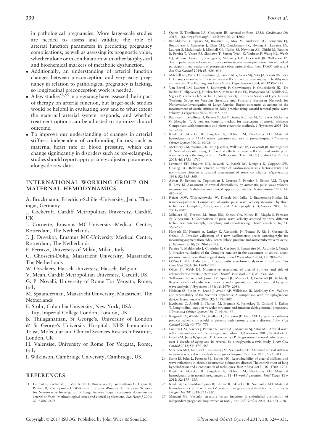in pathological pregnancies. More large-scale studies are needed to assess and validate the role of arterial function parameters in predicting pregnancy complications, as well as assessing its prognostic value, whether alone or in combination with other biophysical and biochemical markers of metabolic dysfunction.

- Additionally, an understanding of arterial function changes between preconception and very early pregnancy in relation to pathological pregnancy is lacking, so longitudinal preconception work is needed.
- A few studies<sup>54,55</sup> in pregnancy have assessed the impact of therapy on arterial function, but larger-scale studies would be helpful in evaluating how and to what extent the maternal arterial system responds, and whether treatment options can be adjusted to optimize clinical outcome.
- To improve our understanding of changes in arterial stiffness independent of confounding factors, such as maternal heart rate or blood pressure, which can change significantly in disorders such as pre-eclampsia, studies should report appropriately adjusted parameters alongside raw data.

# **INTERNATIONAL WORKING GROUP ON MATERNAL HEMODYNAMICS**

A. Bruckmann, Friedrich-Schiller-University, Jena, Thuringia, Germany

J. Cockcroft, Cardiff Metropolitan University, Cardiff, UK

J. Cornette, Erasmus MC-University Medical Centre, Rotterdam, The Netherlands

J. J. Duvekot, Erasmus MC-University Medical Centre, Rotterdam, The Netherlands

E. Ferrazzi, University of Milan, Milan, Italy

C. Ghossein-Doha, Maastricht University, Maastricht, The Netherlands

- W. Gyselaers, Hasselt University, Hasselt, Belgium
- V. Meah, Cardiff Metropolitan University, Cardiff, UK

G. P. Novelli, University of Rome Tor Vergata, Rome, Italy

M. Spaanderman, Maastricht University, Maastricht, The Netherlands

- E. Stohr, Columbia University, New York, USA
- J. Tay, Imperial College London, London, UK
- B. Thilaganathan, St George's, University of London & St George's University Hospitals NHS Foundation Trust, Molecular and Clinical Sciences Research Institute, London, UK

H. Valensise, University of Rome Tor Vergata, Rome, Italy

I. Wilkinson, Cambridge University, Cambridge, UK

#### **REFERENCES**

1. Laurent S, Cockcroft J, Van Bortel L, Boutouyrie P, Giannattasio C, Hayoz D, Pannier B, Vlachopoulos C, Wilkinson I, Struijker-Boudier H, European Network for Non-invasive Investigation of Large Arteries. Expert consensus document on arterial stiffness: Methodological issues and clinical applications. *Eur Heart J* 2006; **27**: 2588–2605.

- 2. Quinn U, Tomlinson LA, Cockcroft JR. Arterial stiffness. *JRSM Cardiovasc Dis* 2012; **1** (6). https://doi.org/10.1258/cvd.2012.012024.
- 3. Ben-Shlomo Y, Spears M, Boustred C, May M, Anderson SG, Benjamin EJ, Boutouyrie P, Cameron J, Chen CH, Cruickshank JK, Hwang SJ, Lakatta EG, Laurent S, Maldonado J, Mitchell GF, Najjar SS, Newman AB, Ohishi M, Pannier B, Pereira T, Vasan RS, Shokawa T, Sutton-Tyrell K, Verbeke F, Wang KL, Webb DJ, Willum Hansen T, Zoungas S, McEniery CM, Cockcroft JR, Wilkinson IB. Aortic pulse wave velocity improves cardiovascular event prediction: An individual participant meta-analysis of prospective observational data from 17,635 subjects. *J Am Coll Cardiol* 2014; **63**: 636–646.
- 4. Mitchell GF, Parise H, Benjamin EJ, Larson MG, Keyes MJ, Vita JA, Vasan RS, Levy D. Changes in arterial stiffness and wave reflection with advancing age in healthy men and women: The Framingham Heart Study. *Hypertension* 2004; **43**: 1239–1245.
- 5. Van Bortel LM, Laurent S, Boutouyrie P, Chowienczyk P, Cruickshank JK, De Backer T, Filipovsky J, Huybrechts S, Mattace-Raso FU, Protogerou AD, Schillaci G, Segers P, Vermeersch S, Weber T, Artery Society, European Society of Hypertension Working Group on Vascular Structure and Function; European Network for Noninvasive Investigation of Large Arteries. Expert consensus document on the measurement of aortic stiffness in daily practice using carotid-femoral pulse wave velocity. *J Hypertens* 2012; **30**: 445–448.
- 6. Baulmann J, Schillings U, Rickert S, Uen S, Dusing R, Illyes M, Cziraki A, Nickering G, Mengden T. A new oscillometric method for assessment of arterial stiffness: Comparison with tonometric and piezo-electronic methods. *J Hypertens* 2008; **26**: 523–528.
- 7. Khalil A, Akolekar R, Syngelaki A, Elkhouli M, Nicolaides KH. Maternal hemodynamics at 11–13 weeks' gestation and risk of pre-eclampsia. *Ultrasound Obstet Gynecol* 2012; **40**: 28–34.
- 8. McEniery CM, Yasmin, Hall IR, Qasem A, Wilkinson IB, Cockcroft JR, Investigators A. Normal vascular aging: Differential effects on wave reflection and aortic pulse wave velocity - the Anglo-Cardiff Collaborative Trial (ACCT). *J Am Coll Cardiol* 2005; **46**: 1753–1760.
- 9. Lehmann ED, Hopkins KD, Rawesh A, Joseph RC, Kongola K, Coppack SW, Gosling RG. Relation between number of cardiovascular risk factors/events and noninvasive Doppler ultrasound assessments of aortic compliance. *Hypertension* 1998; **32**: 565–569.
- 10. Asmar R, Benetos A, Topouchian J, Laurent P, Pannier B, Brisac AM, Target R, Levy BI. Assessment of arterial distensibility by automatic pulse wave velocity measurement. Validation and clinical application studies. *Hypertension* 1995; **26**:  $485 - 490$
- 11. Rajzer MW, Wojciechowska W, Klocek M, Palka I, Brzozowska-Kiszka M, Kawecka-Jaszcz K. Comparison of aortic pulse wave velocity measured by three techniques: Complior, Sphygmocor and Arteriograph. *J Hypertens* 2008; **26**: 2001–2007.
- 12. Mihalcea DJ, Florescu M, Suran BM, Enescu OA, Mincu RI, Magda S, Patrascu N, Vinereanu D. Comparison of pulse wave velocity assessed by three different techniques: Arteriograph, Complior, and echo-tracking. *Heart Vessels* 2016; **31**: 568–577.
- 13. Horvath IG, Nemeth A, Lenkey Z, Alessandri N, Tufano F, Kis P, Gaszner B, Cziraki A. Invasive validation of a new oscillometric device (arteriograph) for measuring augmentation index, central blood pressure and aortic pulse wave velocity. *J Hypertens* 2010; **28**: 2068–2075.
- 14. Pereira T, Maldonado J, Coutinho R, Cardoso E, Laranjeiro M, Andrade I, Conde J. Invasive validation of the Complior Analyse in the assessment of central artery pressure curves: a methodological study. *Blood Press Monit* 2014; **19**: 280–287.
- 15. O'Rourke MF, Hashimoto J. Pressure pulse waveform analysis in critical care. *Crit Care Med* 2006; **34**: 1569–1570.
- 16. Oliver JJ, Webb DJ, Noninvasive assessment of arterial stiffness and risk of atherosclerotic events. *Arterioscler Thromb Vasc Biol* 2003; **23**: 554–566.
- 17. Wilkinson IB, Fuchs SA, Jansen IM, Spratt JC, Murray GD, Cockcroft JR, Webb DJ. Reproducibility of pulse wave velocity and augmentation index measured by pulse wave analysis. *J Hypertens* 1998; **16**: 2079–2084.
- 18. Hickson SS, Butlin M, Broad J, Avolio AP, Wilkinson IB, McEniery CM. Validity and repeatability of the Vicorder apparatus: A comparison with the Sphygmocor device. *Hypertens Res* 2009; **32**: 1079–1085.
- 19. Iacobaeus C, Andolf E, Thorsell M, Bremme K, Jorneskog G, Ostlund E, Kahan T. Longitudinal study of vascular structure and function during normal pregnancy. *Ultrasound Obstet Gynecol* 2017; **49**: 46–53.
- 20. Kingwell BA, Waddell TK, Medley TL, Cameron JD, Dart AM. Large artery stiffness predicts ischemic threshold in patients with coronary artery disease. *J Am Coll Cardiol* 2002; **40**: 773–779.
- 21. London GM, Blacher J, Pannier B, Guerin AP, Marchais SJ, Safar ME. Arterial wave reflections and survival in end-stage renal failure. *Hypertension* 2001; **38**: 434–438.
- 22. Cecelja M, Jiang B, Spector TD, Chowienczyk P. Progression of central pulse pressure over 1 decade of aging and its reversal by nitroglycerin a twin study. *J Am Coll Cardiol* 2012; **59**: 475–483.
- 23. Savvidou MD, Kaihura C, Anderson JM, Nicolaides KH. Maternal arterial stiffness in women who subsequently develop pre-eclampsia. *Plos One* 2011; **6**: e18703.
- 24. Stone IS, John L, Petersen SE, Barnes NC. Reproducibility of arterial stiffness and wave reflections in chronic obstructive pulmonary disease: The contribution of lung hyperinflation and a comparison of techniques. *Respir Med* 2013; **107**: 1700–1708.
- 25. Khalil A, Akolekar R, Syngelaki A, Elkhouli M, Nicolaides KH. Maternal hemodynamics in normal pregnancies at 11–13 weeks' gestation. *Fetal Diagn Ther* 2012; **32**: 179–185.
- 26. Khalil A, Garcia-Mandujano R, Chiriac R, Akolekar R, Nicolaides KH. Maternal hemodynamics at 11–13 weeks' gestation in gestational diabetes mellitus. *Fetal Diagn Ther* 2012; **31**: 216–220.
- 27. Mancini GB. Vascular structure versus function: Is endothelial dysfunction of independent prognostic importance or not? *J Am Coll Cardiol* 2004; **43**: 624–628.